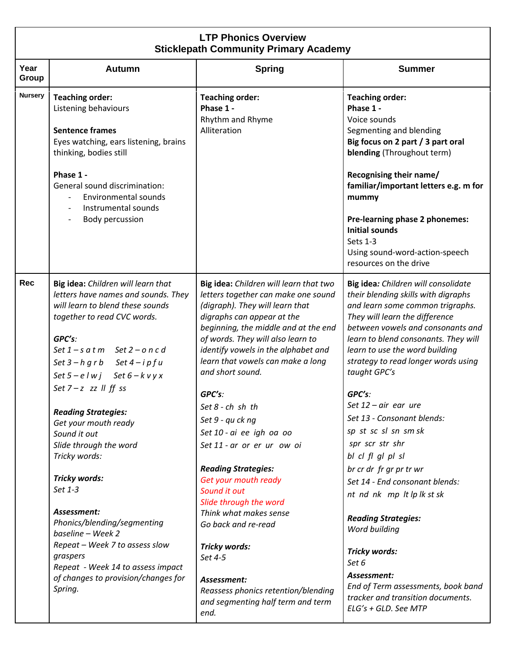| <b>LTP Phonics Overview</b><br><b>Sticklepath Community Primary Academy</b> |                                                                                                                                                                                                                                                                                                                                                                                                                                                                                                                                                                                                                                                                    |                                                                                                                                                                                                                                                                                                                                                                                                                                                                                                                                                                                                                                                                                                                         |                                                                                                                                                                                                                                                                                                                                                                                                                                                                                                                                                                                                                                                                                                                                                |  |  |
|-----------------------------------------------------------------------------|--------------------------------------------------------------------------------------------------------------------------------------------------------------------------------------------------------------------------------------------------------------------------------------------------------------------------------------------------------------------------------------------------------------------------------------------------------------------------------------------------------------------------------------------------------------------------------------------------------------------------------------------------------------------|-------------------------------------------------------------------------------------------------------------------------------------------------------------------------------------------------------------------------------------------------------------------------------------------------------------------------------------------------------------------------------------------------------------------------------------------------------------------------------------------------------------------------------------------------------------------------------------------------------------------------------------------------------------------------------------------------------------------------|------------------------------------------------------------------------------------------------------------------------------------------------------------------------------------------------------------------------------------------------------------------------------------------------------------------------------------------------------------------------------------------------------------------------------------------------------------------------------------------------------------------------------------------------------------------------------------------------------------------------------------------------------------------------------------------------------------------------------------------------|--|--|
| Year<br>Group                                                               | Autumn                                                                                                                                                                                                                                                                                                                                                                                                                                                                                                                                                                                                                                                             | <b>Spring</b>                                                                                                                                                                                                                                                                                                                                                                                                                                                                                                                                                                                                                                                                                                           | <b>Summer</b>                                                                                                                                                                                                                                                                                                                                                                                                                                                                                                                                                                                                                                                                                                                                  |  |  |
| <b>Nursery</b>                                                              | <b>Teaching order:</b><br>Listening behaviours<br><b>Sentence frames</b><br>Eyes watching, ears listening, brains<br>thinking, bodies still<br>Phase 1 -<br>General sound discrimination:<br><b>Environmental sounds</b><br>Instrumental sounds<br>$\overline{\phantom{a}}$<br>Body percussion                                                                                                                                                                                                                                                                                                                                                                     | <b>Teaching order:</b><br>Phase 1 -<br>Rhythm and Rhyme<br>Alliteration                                                                                                                                                                                                                                                                                                                                                                                                                                                                                                                                                                                                                                                 | <b>Teaching order:</b><br>Phase 1 -<br>Voice sounds<br>Segmenting and blending<br>Big focus on 2 part / 3 part oral<br>blending (Throughout term)<br>Recognising their name/<br>familiar/important letters e.g. m for<br>mummy<br>Pre-learning phase 2 phonemes:<br><b>Initial sounds</b><br>Sets 1-3<br>Using sound-word-action-speech<br>resources on the drive                                                                                                                                                                                                                                                                                                                                                                              |  |  |
| Rec                                                                         | Big idea: Children will learn that<br>letters have names and sounds. They<br>will learn to blend these sounds<br>together to read CVC words.<br>GPC's:<br>Set $1 - s$ a t m Set $2 - o$ n c d<br>Set $3 - h$ g r b Set $4 - i p f u$<br>Set $5 - e l w j$ Set $6 - k v y x$<br>Set $7-z$ zz $\parallel$ ff ss<br><b>Reading Strategies:</b><br>Get your mouth ready<br>Sound it out<br>Slide through the word<br>Tricky words:<br>Tricky words:<br>Set 1-3<br>Assessment:<br>Phonics/blending/segmenting<br>baseline - Week 2<br>Repeat - Week 7 to assess slow<br>graspers<br>Repeat - Week 14 to assess impact<br>of changes to provision/changes for<br>Spring. | Big idea: Children will learn that two<br>letters together can make one sound<br>(digraph). They will learn that<br>digraphs can appear at the<br>beginning, the middle and at the end<br>of words. They will also learn to<br>identify vowels in the alphabet and<br>learn that vowels can make a long<br>and short sound.<br>GPC's:<br>Set 8 - ch sh th<br>Set 9 - qu ck ng<br>Set 10 - ai ee igh oa oo<br>Set 11 - ar or er ur ow oi<br><b>Reading Strategies:</b><br>Get your mouth ready<br>Sound it out<br>Slide through the word<br>Think what makes sense<br>Go back and re-read<br>Tricky words:<br>Set 4-5<br>Assessment:<br>Reassess phonics retention/blending<br>and segmenting half term and term<br>end. | Big idea: Children will consolidate<br>their blending skills with digraphs<br>and learn some common trigraphs.<br>They will learn the difference<br>between vowels and consonants and<br>learn to blend consonants. They will<br>learn to use the word building<br>strategy to read longer words using<br>taught GPC's<br>GPC's:<br>Set $12$ – air ear ure<br>Set 13 - Consonant blends:<br>sp st sc sl sn sm sk<br>spr scr str shr<br>bl cl fl gl pl sl<br>br cr dr fr gr pr tr wr<br>Set 14 - End consonant blends:<br>nt nd nk mp lt lp lk st sk<br><b>Reading Strategies:</b><br>Word building<br>Tricky words:<br>Set 6<br>Assessment:<br>End of Term assessments, book band<br>tracker and transition documents.<br>ELG's + GLD. See MTP |  |  |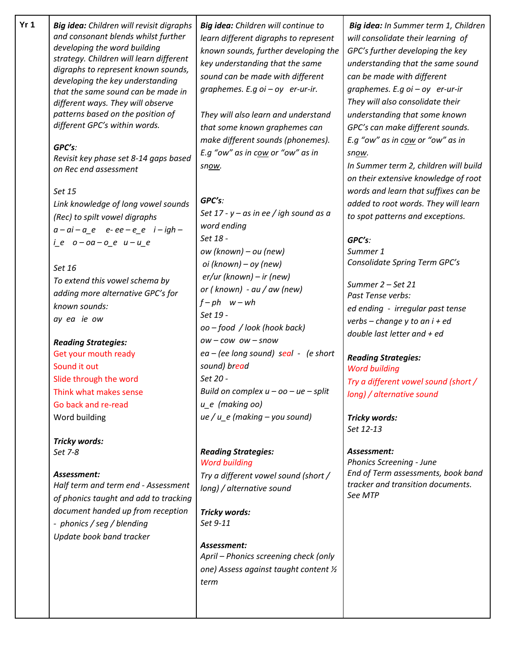| Yr <sub>1</sub> | Big idea: Children will revisit digraphs<br>and consonant blends whilst further<br>developing the word building<br>strategy. Children will learn different<br>digraphs to represent known sounds,<br>developing the key understanding<br>that the same sound can be made in<br>different ways. They will observe<br>patterns based on the position of<br>different GPC's within words.<br>GPC's:<br>Revisit key phase set 8-14 gaps based<br>on Rec end assessment<br>Set 15<br>Link knowledge of long vowel sounds<br>(Rec) to spilt vowel digraphs<br>$a-ai-a$ e e-ee-e e i-igh-<br>$i$ e $o$ - $oa$ - $o$ e $u$ - $u$ e<br>Set 16<br>To extend this vowel schema by<br>adding more alternative GPC's for<br>known sounds:<br>ay ea ie ow<br><b>Reading Strategies:</b><br>Get your mouth ready<br>Sound it out<br>Slide through the word<br>Think what makes sense<br>Go back and re-read<br>Word building<br>Tricky words:<br>Set 7-8<br>Assessment:<br>Half term and term end - Assessment<br>of phonics taught and add to tracking<br>document handed up from reception<br>- phonics / seg / blending<br>Update book band tracker | Big idea: Children will continue to<br>learn different digraphs to represent<br>known sounds, further developing the<br>key understanding that the same<br>sound can be made with different<br>graphemes. E.g $oi - oy$ er-ur-ir.<br>They will also learn and understand<br>that some known graphemes can<br>make different sounds (phonemes).<br>E.g "ow" as in cow or "ow" as in<br>snow.<br>GPC's:<br>Set 17 - y – as in ee / igh sound as a<br>word ending<br>Set 18 -<br>ow (known) – ou (new)<br>oi (known) – oy (new)<br>$er/ur$ (known) – ir (new)<br>or ( $known$ ) - $au$ / $aw$ (new)<br>$f-ph$ $w - wh$<br>Set 19 -<br>oo – food / look (hook back)<br>$OW - \textit{cow}$ ow $-$ snow<br>$ea - (ee long sound)$ seal - (e short<br>sound) bread<br>Set 20 -<br>Build on complex $u$ – oo – ue – split<br>$u$ e (making oo)<br>$ue/u_e$ (making – you sound)<br><b>Reading Strategies:</b><br><b>Word building</b><br>Try a different vowel sound (short /<br>long) / alternative sound<br>Tricky words:<br>Set 9-11<br>Assessment:<br>April - Phonics screening check (only<br>one) Assess against taught content 1/2 | Big idea: In Summer term 1, Children<br>will consolidate their learning of<br>GPC's further developing the key<br>understanding that the same sound<br>can be made with different<br>graphemes. E.g $oi - oy$ er-ur-ir<br>They will also consolidate their<br>understanding that some known<br>GPC's can make different sounds.<br>E.g "ow" as in cow or "ow" as in<br>snow.<br>In Summer term 2, children will build<br>on their extensive knowledge of root<br>words and learn that suffixes can be<br>added to root words. They will learn<br>to spot patterns and exceptions.<br>GPC's:<br>Summer 1<br>Consolidate Spring Term GPC's<br>Summer 2 - Set 21<br>Past Tense verbs:<br>ed ending - irregular past tense<br>verbs – change y to an $i + ed$<br>double last letter and $+$ ed<br><b>Reading Strategies:</b><br><b>Word building</b><br>Try a different vowel sound (short /<br>long) / alternative sound<br>Tricky words:<br>Set 12-13<br>Assessment:<br><b>Phonics Screening - June</b><br>End of Term assessments, book band<br>tracker and transition documents.<br>See MTP |
|-----------------|-----------------------------------------------------------------------------------------------------------------------------------------------------------------------------------------------------------------------------------------------------------------------------------------------------------------------------------------------------------------------------------------------------------------------------------------------------------------------------------------------------------------------------------------------------------------------------------------------------------------------------------------------------------------------------------------------------------------------------------------------------------------------------------------------------------------------------------------------------------------------------------------------------------------------------------------------------------------------------------------------------------------------------------------------------------------------------------------------------------------------------------------|------------------------------------------------------------------------------------------------------------------------------------------------------------------------------------------------------------------------------------------------------------------------------------------------------------------------------------------------------------------------------------------------------------------------------------------------------------------------------------------------------------------------------------------------------------------------------------------------------------------------------------------------------------------------------------------------------------------------------------------------------------------------------------------------------------------------------------------------------------------------------------------------------------------------------------------------------------------------------------------------------------------------------------------------------------------------------------------------------------------------------------|---------------------------------------------------------------------------------------------------------------------------------------------------------------------------------------------------------------------------------------------------------------------------------------------------------------------------------------------------------------------------------------------------------------------------------------------------------------------------------------------------------------------------------------------------------------------------------------------------------------------------------------------------------------------------------------------------------------------------------------------------------------------------------------------------------------------------------------------------------------------------------------------------------------------------------------------------------------------------------------------------------------------------------------------------------------------------------------------|
|                 |                                                                                                                                                                                                                                                                                                                                                                                                                                                                                                                                                                                                                                                                                                                                                                                                                                                                                                                                                                                                                                                                                                                                         | term                                                                                                                                                                                                                                                                                                                                                                                                                                                                                                                                                                                                                                                                                                                                                                                                                                                                                                                                                                                                                                                                                                                               |                                                                                                                                                                                                                                                                                                                                                                                                                                                                                                                                                                                                                                                                                                                                                                                                                                                                                                                                                                                                                                                                                             |